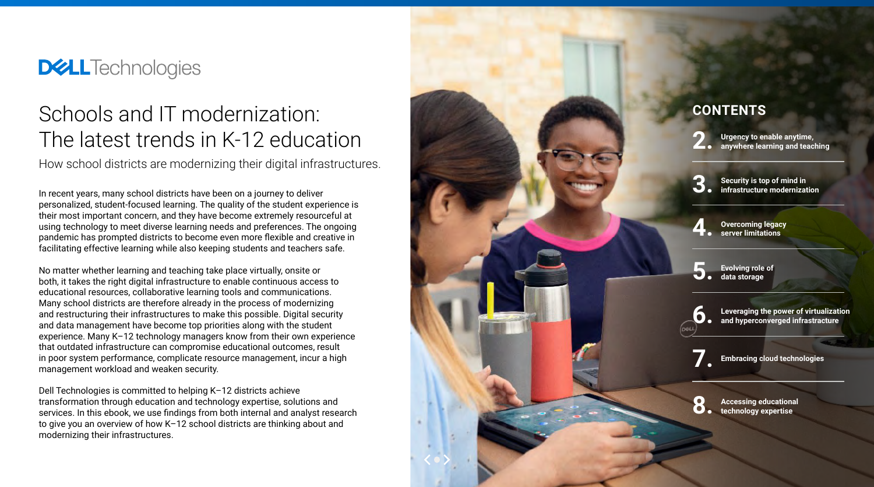In recent years, many school districts have been on a journey to deliver personalized, student-focused learning. The quality of the student experience is their most important concern, and they have become extremely resourceful at using technology to meet diverse learning needs and preferences. The ongoing pandemic has prompted districts to become even more flexible and creative in facilitating effective learning while also keeping students and teachers safe.

No matter whether learning and teaching take place virtually, onsite or both, it takes the right digital infrastructure to enable continuous access to educational resources, collaborative learning tools and communications. Many school districts are therefore already in the process of modernizing and restructuring their infrastructures to make this possible. Digital security and data management have become top priorities along with the student experience. Many K–12 technology managers know from their own experience that outdated infrastructure can compromise educational outcomes, result in poor system performance, complicate resource management, incur a high management workload and weaken security.

Dell Technologies is committed to helping K–12 districts achieve transformation through education and technology expertise, solutions and services. In this ebook, we use findings from both internal and analyst research to give you an overview of how K–12 school districts are thinking about and modernizing their infrastructures.



# **DELLTechnologies**

# Schools and IT modernization: The latest trends in K-12 education

How school districts are modernizing their digital infrastructures.

# **CONTENTS**

**2. Urgency to enable anytime, anywhere learning and teaching**

**Security is top of mind in 3. infrastructure modernization**

**Overcoming legacy 4. server limitations**

**Evolving role of 5. data storage**

**Leveraging the power of virtualization 6. and hyperconverged infrastracture**

**7. Embracing cloud technologies**

**Accessing educational 8. technology expertise**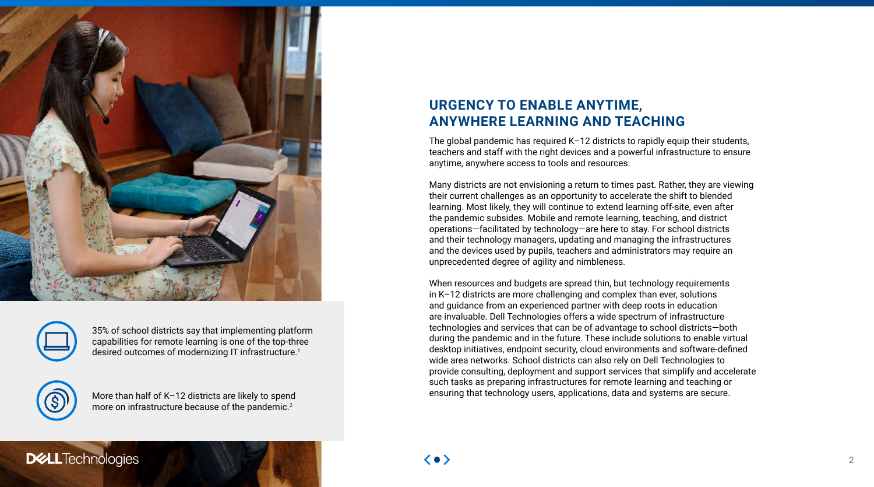# **URGENCY TO ENABLE ANYTIME, ANYWHERE LEARNING AND TEACHING**

The global pandemic has required K–12 districts to rapidly equip their students, teachers and staff with the right devices and a powerful infrastructure to ensure anytime, anywhere access to tools and resources.

When resources and budgets are spread thin, but technology requirements in K–12 districts are more challenging and complex than ever, solutions and guidance from an experienced partner with deep roots in education are invaluable. Dell Technologies offers a wide spectrum of infrastructure technologies and services that can be of advantage to school districts—both during the pandemic and in the future. These include solutions to enable virtual desktop initiatives, endpoint security, cloud environments and software-defined wide area networks. School districts can also rely on Dell Technologies to provide consulting, deployment and support services that simplify and accelerate such tasks as preparing infrastructures for remote learning and teaching or More than half of K-12 districts are likely to spend ensuring that technology users, applications, data and systems are secure.

**DELL**Technologies

Many districts are not envisioning a return to times past. Rather, they are viewing their current challenges as an opportunity to accelerate the shift to blended learning. Most likely, they will continue to extend learning off-site, even after the pandemic subsides. Mobile and remote learning, teaching, and district operations—facilitated by technology—are here to stay. For school districts and their technology managers, updating and managing the infrastructures and the devices used by pupils, teachers and administrators may require an unprecedented degree of agility and nimbleness.





35% of school districts say that implementing platform capabilities for remote learning is one of the top-three desired outcomes of modernizing IT infrastructure.<sup>1</sup>



more on infrastructure because of the pandemic.<sup>2</sup>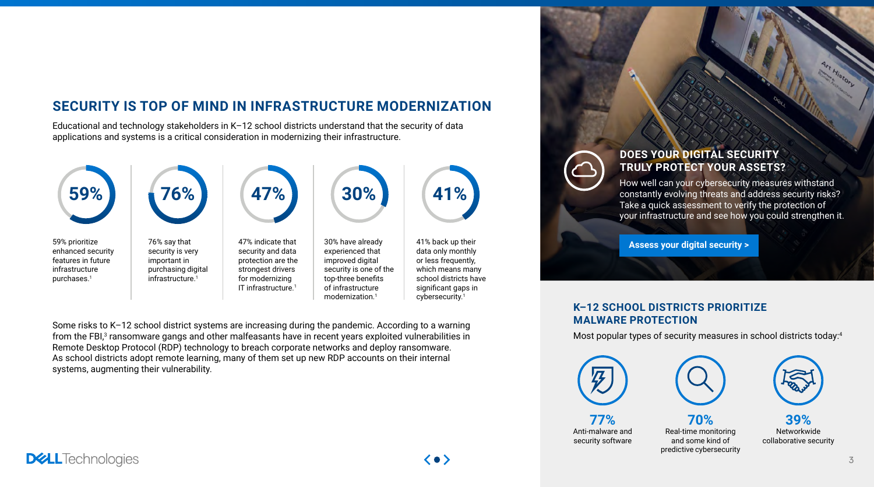# **SECURITY IS TOP OF MIND IN INFRASTRUCTURE MODERNIZATION**

Educational and technology stakeholders in K–12 school districts understand that the security of data applications and systems is a critical consideration in modernizing their infrastructure.

Some risks to K–12 school district systems are increasing during the pandemic. According to a warning from the FBI,<sup>3</sup> ransomware gangs and other malfeasants have in recent years exploited vulnerabilities in Remote Desktop Protocol (RDP) technology to breach corporate networks and deploy ransomware. As school districts adopt remote learning, many of them set up new RDP accounts on their internal systems, augmenting their vulnerability.



### **DOES YOUR DIGITAL SECURITY TRULY PROTECT YOUR ASSETS?**

How well can your cybersecurity measures withstand constantly evolving threats and address security risks? [Take a quick assessment](https://interactive.spiceworks.com/proof-Dell-quiz-Cybersecurity/) to verify the protection of your infrastructure and see how you could strengthen it.

**[Assess your digital security >](https://interactive.spiceworks.com/proof-Dell-quiz-Cybersecurity/)**





#### **K–12 SCHOOL DISTRICTS PRIORITIZE MALWARE PROTECTION**

Most popular types of security measures in school districts today:4



**77%**  Anti-malware and security software

**70%**  Real-time monitoring and some kind of predictive cybersecurity

**39%**  Networkwide collaborative security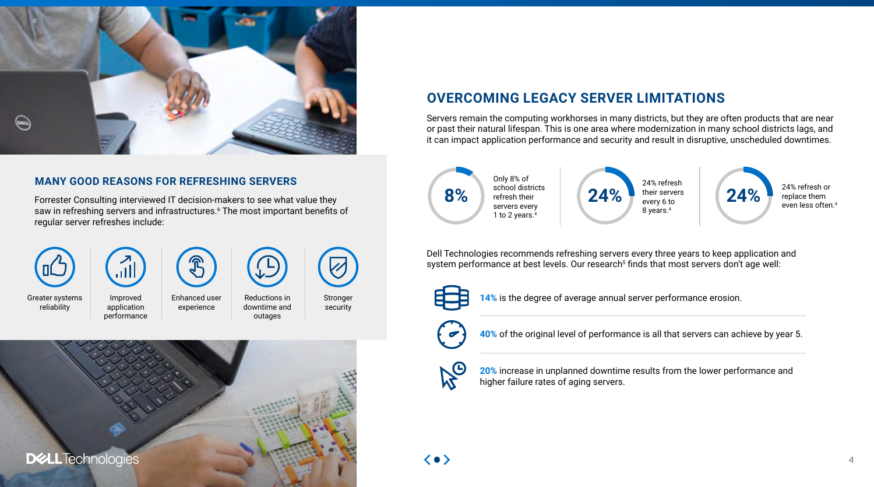# **OVERCOMING LEGACY SERVER LIMITATIONS**

Servers remain the computing workhorses in many districts, but they are often products that are near or past their natural lifespan. This is one area where modernization in many school districts lags, and it can impact application performance and security and result in disruptive, unscheduled downtimes.

Dell Technologies recommends refreshing servers every three years to keep application and system performance at best levels. Our research<sup>5</sup> finds that most servers don't age well:





replace them even less often.4

**Stronger** security



**14%** is the degree of average annual server performance erosion.



**40%** of the original level of performance is all that servers can achieve by year 5.



**20%** increase in unplanned downtime results from the lower performance and higher failure rates of aging servers.





#### **MANY GOOD REASONS FOR REFRESHING SERVERS**

Forrester Consulting interviewed IT decision-makers to see what value they saw in refreshing servers and infrastructures.<sup>6</sup> The most important benefits of regular server refreshes include:





downtime and outages

Enhanced user experience

Improved application performance

Greater systems reliability

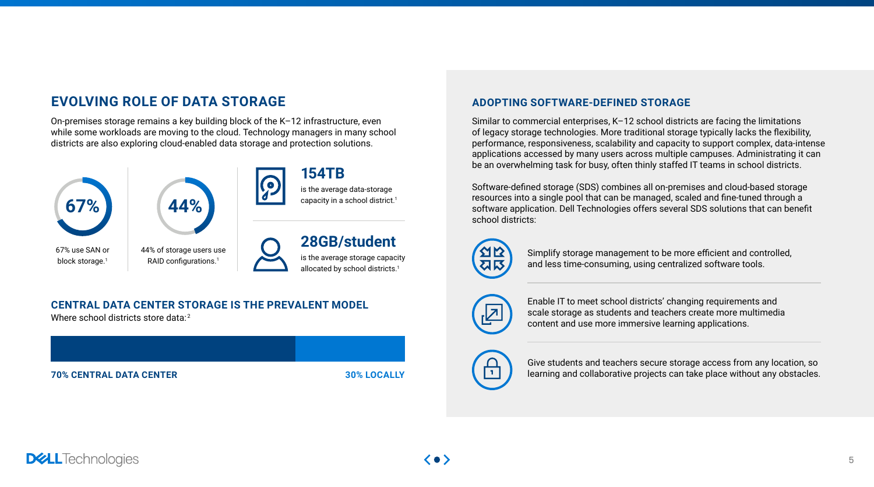# **EVOLVING ROLE OF DATA STORAGE**

On-premises storage remains a key building block of the K–12 infrastructure, even while some workloads are moving to the cloud. Technology managers in many school districts are also exploring cloud-enabled data storage and protection solutions.

#### **ADOPTING SOFTWARE-DEFINED STORAGE**

Similar to commercial enterprises, K–12 school districts are facing the limitations of legacy storage technologies. More traditional storage typically lacks the flexibility, performance, responsiveness, scalability and capacity to support complex, data-intense applications accessed by many users across multiple campuses. Administrating it can be an overwhelming task for busy, often thinly staffed IT teams in school districts.

Software-defined storage (SDS) combines all on-premises and cloud-based storage resources into a single pool that can be managed, scaled and fine-tuned through a software application. Dell Technologies offers several SDS solutions that can benefit school districts:



**70% CENTRAL DATA CENTER 30% LOCALLY**

#### **CENTRAL DATA CENTER STORAGE IS THE PREVALENT MODEL**

Where school districts store data:<sup>2</sup>



block storage.<sup>1</sup>

44% of storage users use RAID configurations.<sup>1</sup>





### is the average storage capacity allocated by school districts.<sup>1</sup> **28GB/student**

# is the average data-storage **154TB**

capacity in a school district.<sup>1</sup>

Give students and teachers secure storage access from any location, so learning and collaborative projects can take place without any obstacles.



Enable IT to meet school districts' changing requirements and scale storage as students and teachers create more multimedia content and use more immersive learning applications.



Simplify storage management to be more efficient and controlled, and less time-consuming, using centralized software tools.

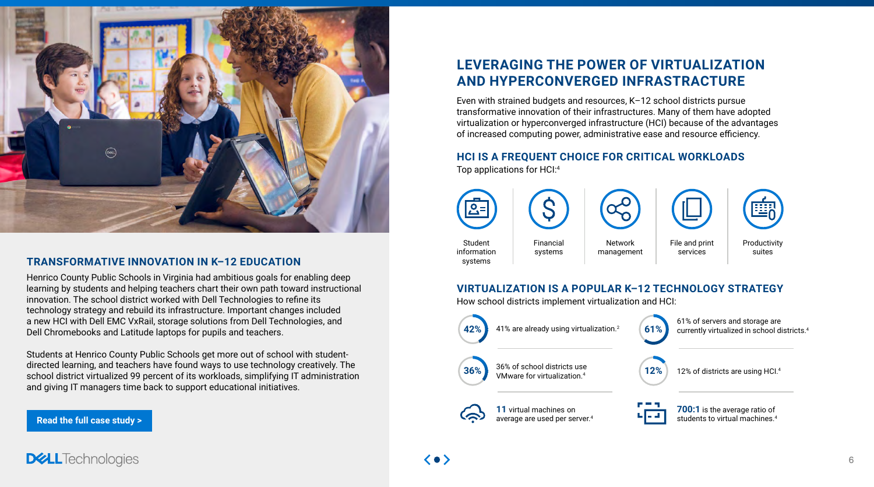

#### **TRANSFORMATIVE INNOVATION IN K–12 EDUCATION**

Henrico County Public Schools in Virginia had ambitious goals for enabling deep learning by students and helping teachers chart their own path toward instructional innovation. The school district worked with Dell Technologies to refine its technology strategy and rebuild its infrastructure. Important changes included a new HCI with Dell EMC VxRail, storage solutions from Dell Technologies, and Dell Chromebooks and Latitude laptops for pupils and teachers.

Students at Henrico County Public Schools get more out of school with studentdirected learning, and teachers have found ways to use technology creatively. The school district virtualized 99 percent of its workloads, simplifying IT administration and giving IT managers time back to support educational initiatives.

**[Read the full case study >](https://www.delltechnologies.com/en-us/industry/education/data-infrastructure.htm#overlay=/en-us/collaterals/unauth/customer-profiles-case-studies/solutions/dellemc-customer-profile-henrico.pdf)**

**DELL**Technologies

# **LEVERAGING THE POWER OF VIRTUALIZATION AND HYPERCONVERGED INFRASTRACTURE**

**700:1** is the average ratio of udents to virtual machines. $4$ 

Even with strained budgets and resources, K–12 school districts pursue transformative innovation of their infrastructures. Many of them have adopted virtualization or hyperconverged infrastructure (HCI) because of the advantages of increased computing power, administrative ease and resource efficiency.

#### **HCI IS A FREQUENT CHOICE FOR CRITICAL WORKLOADS**

Top applications for HCI:4



Productivity suites

% of servers and storage are arrently virtualized in school districts.<sup>4</sup>

 $2\%$  of districts are using HCI.<sup>4</sup>

File and print services



# **VIRTUALIZATION IS A POPULAR K–12 TECHNOLOGY STRATEGY**

How school districts implement virtualization and HCI:

| 42% | 41% are already using virtualization. <sup>2</sup>                     | 61% | 61'<br>.<br>cui |
|-----|------------------------------------------------------------------------|-----|-----------------|
| 36% | 36% of school districts use<br>VMware for virtualization. <sup>4</sup> | 12% | 12'             |
|     | 11 virtual machines on<br>average are used per server. <sup>4</sup>    |     | stu             |

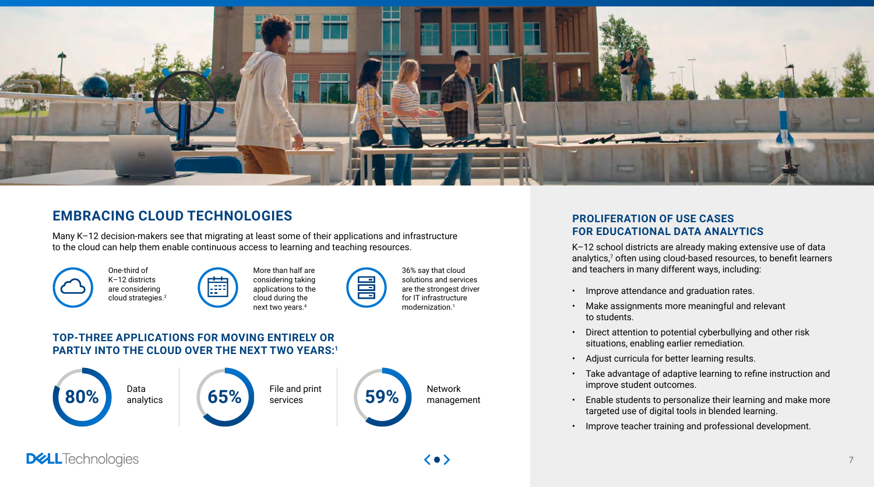### **PROLIFERATION OF USE CASES FOR EDUCATIONAL DATA ANALYTICS**

K–12 school districts are already making extensive use of data analytics,<sup>7</sup> often using cloud-based resources, to benefit learners and teachers in many different ways, including:

- Improve attendance and graduation rates.
- Make assignments more meaningful and relevant to students.
- Direct attention to potential cyberbullying and other risk situations, enabling earlier remediation.
- Adjust curricula for better learning results.
- Take advantage of adaptive learning to refine instruction and improve student outcomes.
- Enable students to personalize their learning and make more targeted use of digital tools in blended learning.
- Improve teacher training and professional development.





# **EMBRACING CLOUD TECHNOLOGIES**

Many K–12 decision-makers see that migrating at least some of their applications and infrastructure to the cloud can help them enable continuous access to learning and teaching resources.







More than half are considering taking applications to the cloud during the next two years.4

36% say that cloud solutions and services are the strongest driver for IT infrastructure modernization.1

### **TOP-THREE APPLICATIONS FOR MOVING ENTIRELY OR PARTLY INTO THE CLOUD OVER THE NEXT TWO YEARS:1**